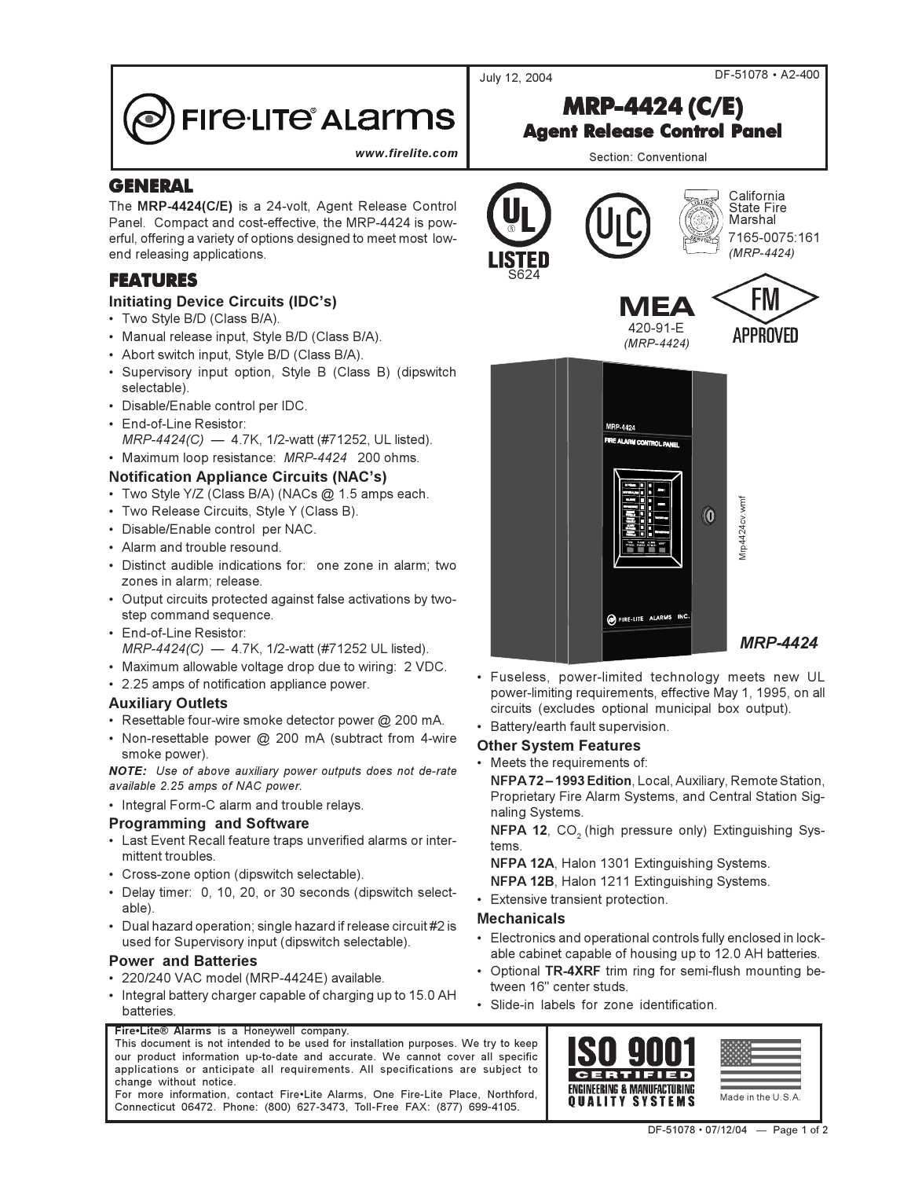July 12, 2004

DF-51078 · A2-400

# **FIre·LITe<sup>®</sup> ALarms**

www.firelite.com

# **GENERAL**

The MRP-4424(C/E) is a 24-volt, Agent Release Control Panel. Compact and cost-effective, the MRP-4424 is powerful, offering a variety of options designed to meet most lowend releasing applications.

# **FEATURES**

#### **Initiating Device Circuits (IDC's)**

- Two Style B/D (Class B/A).
- Manual release input, Style B/D (Class B/A).
- Abort switch input, Style B/D (Class B/A).
- Supervisory input option, Style B (Class B) (dipswitch selectable).
- · Disable/Enable control per IDC.
- · End-of-Line Resistor: MRP-4424(C) - 4.7K, 1/2-watt (#71252, UL listed).
- Maximum loop resistance: MRP-4424 200 ohms.

### **Notification Appliance Circuits (NAC's)**

- · Two Style Y/Z (Class B/A) (NACs @ 1.5 amps each.
- Two Release Circuits, Style Y (Class B).
- · Disable/Enable control per NAC.
- Alarm and trouble resound.
- · Distinct audible indications for: one zone in alarm; two zones in alarm; release.
- Output circuits protected against false activations by twostep command sequence.
- End-of-Line Resistor: MRP-4424(C) - 4.7K, 1/2-watt (#71252 UL listed).
- Maximum allowable voltage drop due to wiring: 2 VDC.
- 2.25 amps of notification appliance power.

#### **Auxiliary Outlets**

- · Resettable four-wire smoke detector power @ 200 mA.
- Non-resettable power @ 200 mA (subtract from 4-wire smoke power).

NOTE: Use of above auxiliary power outputs does not de-rate available 2.25 amps of NAC power.

• Integral Form-C alarm and trouble relays.

#### **Programming and Software**

- Last Event Recall feature traps unverified alarms or intermittent troubles.
- Cross-zone option (dipswitch selectable).
- Delay timer: 0, 10, 20, or 30 seconds (dipswitch selectable).
- Dual hazard operation; single hazard if release circuit #2 is used for Supervisory input (dipswitch selectable).

#### **Power and Batteries**

- · 220/240 VAC model (MRP-4424E) available.
- Integral battery charger capable of charging up to 15.0 AH **batteries**

#### Fire•Lite® Alarms is a Honeywell company.

This document is not intended to be used for installation purposes. We try to keep our product information up-to-date and accurate. We cannot cover all specific applications or anticipate all requirements. All specifications are subject to change without notice.

For more information, contact Fire•Lite Alarms, One Fire-Lite Place, Northford, Connecticut 06472. Phone: (800) 627-3473, Toll-Free FAX: (877) 699-4105.



- · Fuseless, power-limited technology meets new UL power-limiting requirements, effective May 1, 1995, on all circuits (excludes optional municipal box output).
- Battery/earth fault supervision.

#### **Other System Features**

• Meets the requirements of:

NFPA72-1993 Edition, Local, Auxiliary, Remote Station, Proprietary Fire Alarm Systems, and Central Station Signaling Systems.

NFPA 12, CO<sub>2</sub> (high pressure only) Extinguishing Systems

NFPA 12A, Halon 1301 Extinguishing Systems.

- NFPA 12B, Halon 1211 Extinguishing Systems.
- Extensive transient protection.

#### **Mechanicals**

- Electronics and operational controls fully enclosed in lock- $\bullet$ able cabinet capable of housing up to 12.0 AH batteries.
- Optional TR-4XRF trim ring for semi-flush mounting between 16" center studs.
- Slide-in labels for zone identification.



**Agent Release Control Panel** Section: Conventional

**MRP-4424 (C/E)**